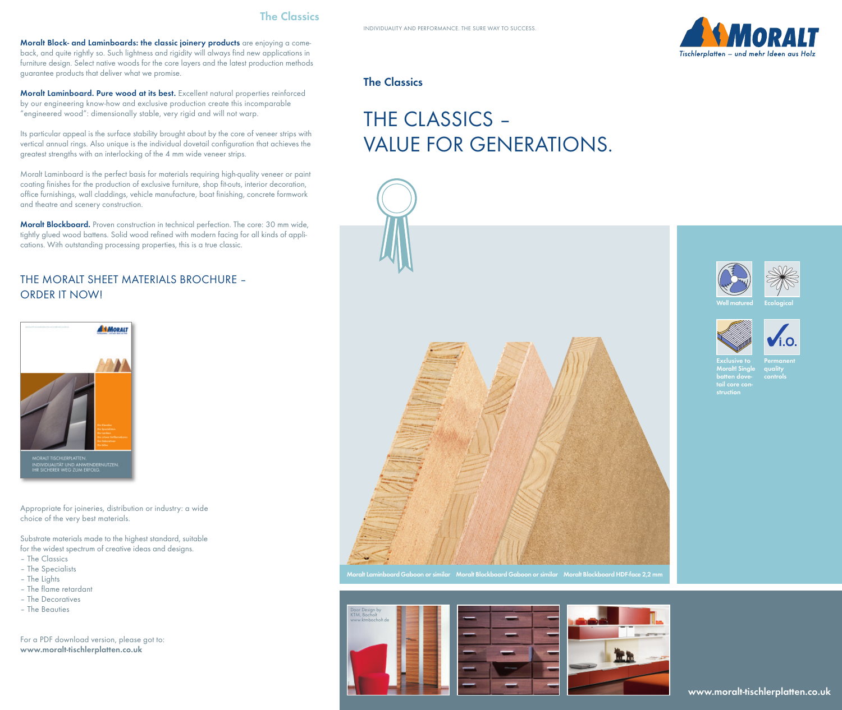

**Moralt Block- and Laminboards: the classic joinery products** are enjoying a comeback, and quite rightly so. Such lightness and rigidity will always find new applications in furniture design. Select native woods for the core layers and the latest production methods guarantee products that deliver what we promise.

**Moralt Laminboard. Pure wood at its best.** Excellent natural properties reinforced by our engineering know-how and exclusive production create this incomparable "engineered wood": dimensionally stable, very rigid and will not warp.

Its particular appeal is the surface stability brought about by the core of veneer strips with vertical annual rings. Also unique is the individual dovetail configuration that achieves the greatest strengths with an interlocking of the 4 mm wide veneer strips.

Moralt Laminboard is the perfect basis for materials requiring high-quality veneer or paint coating finishes for the production of exclusive furniture, shop fit-outs, interior decoration, office furnishings, wall claddings, vehicle manufacture, boat finishing, concrete formwork and theatre and scenery construction.

**Moralt Blockboard.** Proven construction in technical perfection. The core: 30 mm wide, tightly glued wood battens. Solid wood refined with modern facing for all kinds of applications. With outstanding processing properties, this is a true classic.

# THE MORALT SHEET MATERIALS BROCHURE – ORDER IT NOW!



Appropriate for joineries, distribution or industry: a wide choice of the very best materials.

Substrate materials made to the highest standard, suitable for the widest spectrum of creative ideas and designs.

- The Classics
- The Specialists
- The Lights
- The flame retardant
- The Decoratives
- The Beauties

For a PDF download version, please got to: **www.moralt-tischlerplatten.co.uk**

## **The Classics**

# THE CLASSICS – VALUE FOR GENERATIONS.





**Permanent quality controls**

**Exclusive to Moralt! Single batten dovetail core construction**



**Moralt Laminboard Gaboon or similar Moralt Blockboard Gaboon or similar Moralt Blockboard HDF-face 2,2 mm**